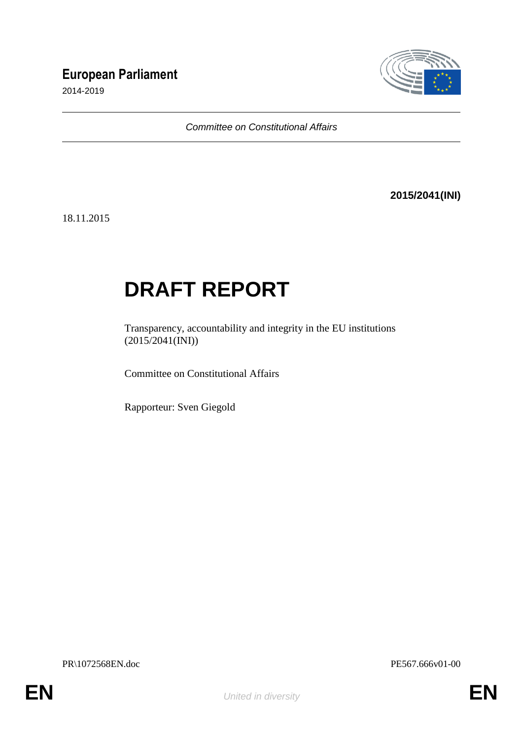# **European Parliament**

2014-2019



*Committee on Constitutional Affairs*

**2015/2041(INI)**

18.11.2015

# **DRAFT REPORT**

Transparency, accountability and integrity in the EU institutions  $(2015/2041$ (INI))

Committee on Constitutional Affairs

Rapporteur: Sven Giegold

PR\1072568EN.doc PE567.666v01-00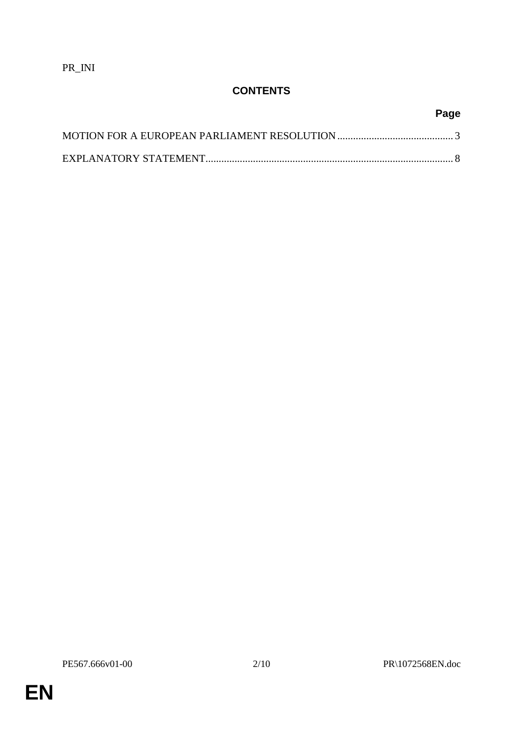PR\_INI

# **CONTENTS**

**Page**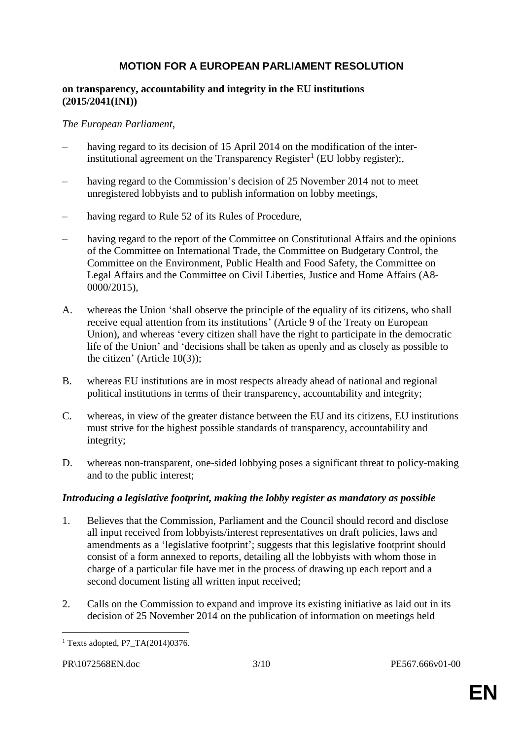# **MOTION FOR A EUROPEAN PARLIAMENT RESOLUTION**

#### **on transparency, accountability and integrity in the EU institutions (2015/2041(INI))**

#### *The European Parliament*,

- having regard to its decision of 15 April 2014 on the modification of the interinstitutional agreement on the Transparency Register<sup>1</sup> (EU lobby register);,
- having regard to the Commission's decision of 25 November 2014 not to meet unregistered lobbyists and to publish information on lobby meetings,
- having regard to Rule 52 of its Rules of Procedure,
- having regard to the report of the Committee on Constitutional Affairs and the opinions of the Committee on International Trade, the Committee on Budgetary Control, the Committee on the Environment, Public Health and Food Safety, the Committee on Legal Affairs and the Committee on Civil Liberties, Justice and Home Affairs (A8- 0000/2015),
- A. whereas the Union 'shall observe the principle of the equality of its citizens, who shall receive equal attention from its institutions' (Article 9 of the Treaty on European Union), and whereas 'every citizen shall have the right to participate in the democratic life of the Union' and 'decisions shall be taken as openly and as closely as possible to the citizen' (Article 10(3));
- B. whereas EU institutions are in most respects already ahead of national and regional political institutions in terms of their transparency, accountability and integrity;
- C. whereas, in view of the greater distance between the EU and its citizens, EU institutions must strive for the highest possible standards of transparency, accountability and integrity;
- D. whereas non-transparent, one-sided lobbying poses a significant threat to policy-making and to the public interest;

#### *Introducing a legislative footprint, making the lobby register as mandatory as possible*

- 1. Believes that the Commission, Parliament and the Council should record and disclose all input received from lobbyists/interest representatives on draft policies, laws and amendments as a 'legislative footprint'; suggests that this legislative footprint should consist of a form annexed to reports, detailing all the lobbyists with whom those in charge of a particular file have met in the process of drawing up each report and a second document listing all written input received;
- 2. Calls on the Commission to expand and improve its existing initiative as laid out in its decision of 25 November 2014 on the publication of information on meetings held

 $\overline{a}$ <sup>1</sup> Texts adopted, P7 TA $(2014)0376$ .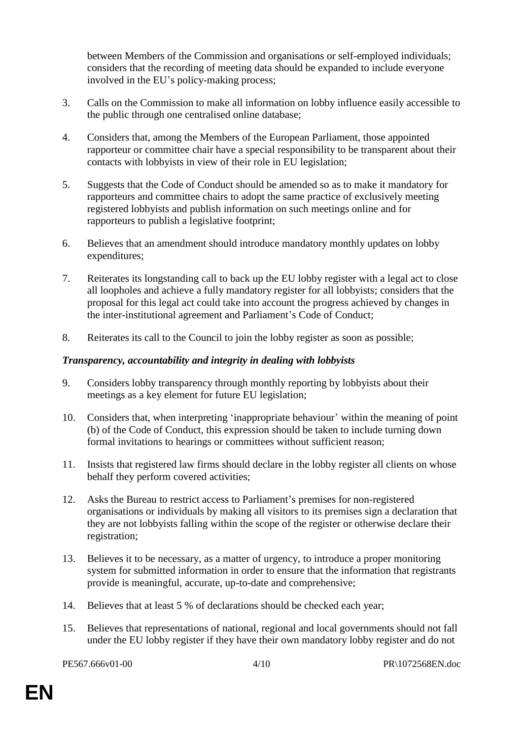between Members of the Commission and organisations or self-employed individuals; considers that the recording of meeting data should be expanded to include everyone involved in the EU's policy-making process;

- 3. Calls on the Commission to make all information on lobby influence easily accessible to the public through one centralised online database;
- 4. Considers that, among the Members of the European Parliament, those appointed rapporteur or committee chair have a special responsibility to be transparent about their contacts with lobbyists in view of their role in EU legislation;
- 5. Suggests that the Code of Conduct should be amended so as to make it mandatory for rapporteurs and committee chairs to adopt the same practice of exclusively meeting registered lobbyists and publish information on such meetings online and for rapporteurs to publish a legislative footprint;
- 6. Believes that an amendment should introduce mandatory monthly updates on lobby expenditures;
- 7. Reiterates its longstanding call to back up the EU lobby register with a legal act to close all loopholes and achieve a fully mandatory register for all lobbyists; considers that the proposal for this legal act could take into account the progress achieved by changes in the inter-institutional agreement and Parliament's Code of Conduct;
- 8. Reiterates its call to the Council to join the lobby register as soon as possible;

#### *Transparency, accountability and integrity in dealing with lobbyists*

- 9. Considers lobby transparency through monthly reporting by lobbyists about their meetings as a key element for future EU legislation;
- 10. Considers that, when interpreting 'inappropriate behaviour' within the meaning of point (b) of the Code of Conduct, this expression should be taken to include turning down formal invitations to hearings or committees without sufficient reason;
- 11. Insists that registered law firms should declare in the lobby register all clients on whose behalf they perform covered activities;
- 12. Asks the Bureau to restrict access to Parliament's premises for non-registered organisations or individuals by making all visitors to its premises sign a declaration that they are not lobbyists falling within the scope of the register or otherwise declare their registration;
- 13. Believes it to be necessary, as a matter of urgency, to introduce a proper monitoring system for submitted information in order to ensure that the information that registrants provide is meaningful, accurate, up-to-date and comprehensive;
- 14. Believes that at least 5 % of declarations should be checked each year;
- 15. Believes that representations of national, regional and local governments should not fall under the EU lobby register if they have their own mandatory lobby register and do not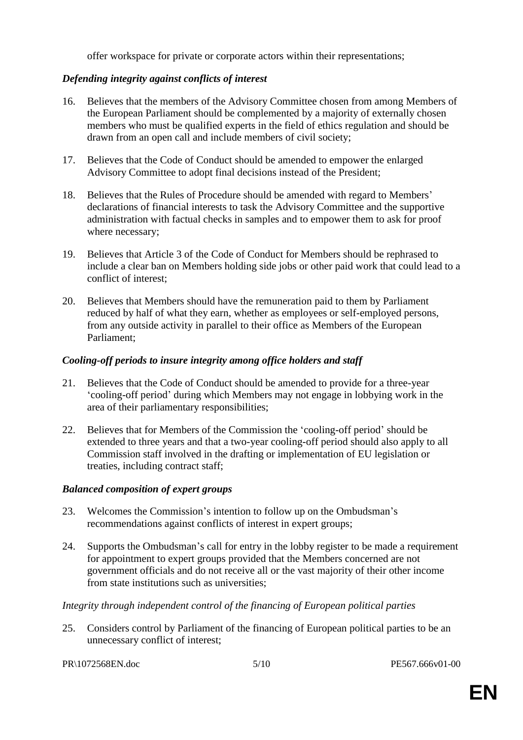offer workspace for private or corporate actors within their representations;

#### *Defending integrity against conflicts of interest*

- 16. Believes that the members of the Advisory Committee chosen from among Members of the European Parliament should be complemented by a majority of externally chosen members who must be qualified experts in the field of ethics regulation and should be drawn from an open call and include members of civil society;
- 17. Believes that the Code of Conduct should be amended to empower the enlarged Advisory Committee to adopt final decisions instead of the President;
- 18. Believes that the Rules of Procedure should be amended with regard to Members' declarations of financial interests to task the Advisory Committee and the supportive administration with factual checks in samples and to empower them to ask for proof where necessary;
- 19. Believes that Article 3 of the Code of Conduct for Members should be rephrased to include a clear ban on Members holding side jobs or other paid work that could lead to a conflict of interest;
- 20. Believes that Members should have the remuneration paid to them by Parliament reduced by half of what they earn, whether as employees or self-employed persons, from any outside activity in parallel to their office as Members of the European Parliament;

#### *Cooling-off periods to insure integrity among office holders and staff*

- 21. Believes that the Code of Conduct should be amended to provide for a three-year 'cooling-off period' during which Members may not engage in lobbying work in the area of their parliamentary responsibilities;
- 22. Believes that for Members of the Commission the 'cooling-off period' should be extended to three years and that a two-year cooling-off period should also apply to all Commission staff involved in the drafting or implementation of EU legislation or treaties, including contract staff;

#### *Balanced composition of expert groups*

- 23. Welcomes the Commission's intention to follow up on the Ombudsman's recommendations against conflicts of interest in expert groups;
- 24. Supports the Ombudsman's call for entry in the lobby register to be made a requirement for appointment to expert groups provided that the Members concerned are not government officials and do not receive all or the vast majority of their other income from state institutions such as universities;

#### *Integrity through independent control of the financing of European political parties*

25. Considers control by Parliament of the financing of European political parties to be an unnecessary conflict of interest;

PR\1072568EN.doc 5/10 PE567.666v01-00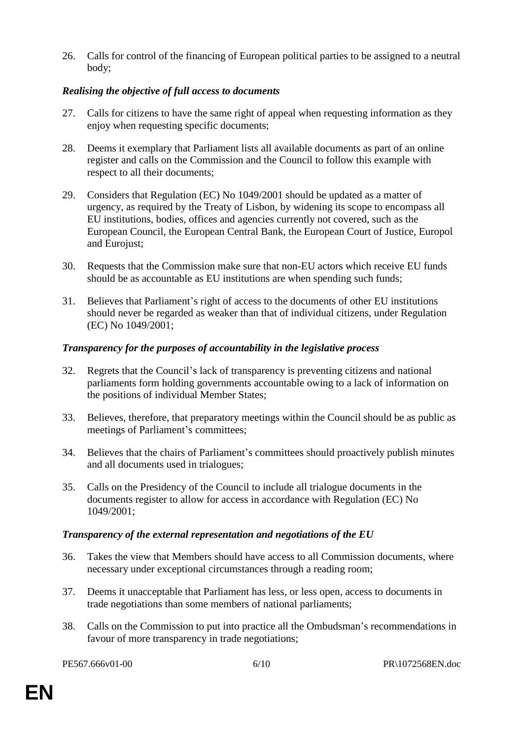26. Calls for control of the financing of European political parties to be assigned to a neutral body;

## *Realising the objective of full access to documents*

- 27. Calls for citizens to have the same right of appeal when requesting information as they enjoy when requesting specific documents;
- 28. Deems it exemplary that Parliament lists all available documents as part of an online register and calls on the Commission and the Council to follow this example with respect to all their documents;
- 29. Considers that Regulation (EC) No 1049/2001 should be updated as a matter of urgency, as required by the Treaty of Lisbon, by widening its scope to encompass all EU institutions, bodies, offices and agencies currently not covered, such as the European Council, the European Central Bank, the European Court of Justice, Europol and Eurojust;
- 30. Requests that the Commission make sure that non-EU actors which receive EU funds should be as accountable as EU institutions are when spending such funds;
- 31. Believes that Parliament's right of access to the documents of other EU institutions should never be regarded as weaker than that of individual citizens, under Regulation (EC) No 1049/2001;

#### *Transparency for the purposes of accountability in the legislative process*

- 32. Regrets that the Council's lack of transparency is preventing citizens and national parliaments form holding governments accountable owing to a lack of information on the positions of individual Member States;
- 33. Believes, therefore, that preparatory meetings within the Council should be as public as meetings of Parliament's committees;
- 34. Believes that the chairs of Parliament's committees should proactively publish minutes and all documents used in trialogues;
- 35. Calls on the Presidency of the Council to include all trialogue documents in the documents register to allow for access in accordance with Regulation (EC) No 1049/2001;

#### *Transparency of the external representation and negotiations of the EU*

- 36. Takes the view that Members should have access to all Commission documents, where necessary under exceptional circumstances through a reading room;
- 37. Deems it unacceptable that Parliament has less, or less open, access to documents in trade negotiations than some members of national parliaments;
- 38. Calls on the Commission to put into practice all the Ombudsman's recommendations in favour of more transparency in trade negotiations;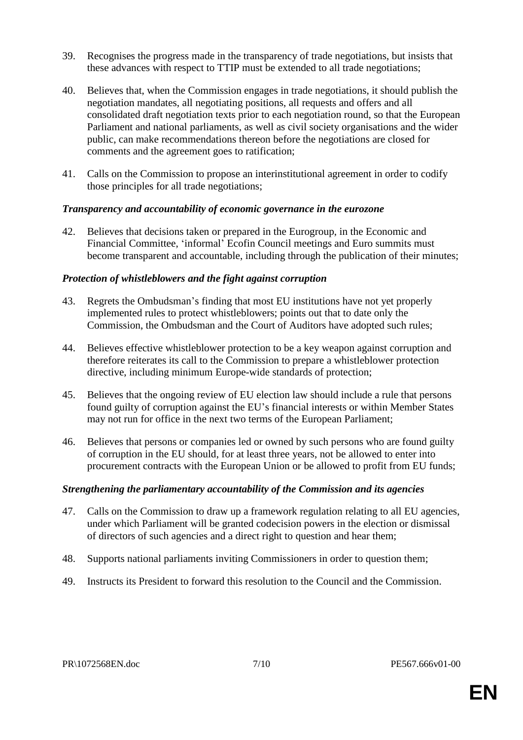- 39. Recognises the progress made in the transparency of trade negotiations, but insists that these advances with respect to TTIP must be extended to all trade negotiations;
- 40. Believes that, when the Commission engages in trade negotiations, it should publish the negotiation mandates, all negotiating positions, all requests and offers and all consolidated draft negotiation texts prior to each negotiation round, so that the European Parliament and national parliaments, as well as civil society organisations and the wider public, can make recommendations thereon before the negotiations are closed for comments and the agreement goes to ratification;
- 41. Calls on the Commission to propose an interinstitutional agreement in order to codify those principles for all trade negotiations;

#### *Transparency and accountability of economic governance in the eurozone*

42. Believes that decisions taken or prepared in the Eurogroup, in the Economic and Financial Committee, 'informal' Ecofin Council meetings and Euro summits must become transparent and accountable, including through the publication of their minutes;

#### *Protection of whistleblowers and the fight against corruption*

- 43. Regrets the Ombudsman's finding that most EU institutions have not yet properly implemented rules to protect whistleblowers; points out that to date only the Commission, the Ombudsman and the Court of Auditors have adopted such rules;
- 44. Believes effective whistleblower protection to be a key weapon against corruption and therefore reiterates its call to the Commission to prepare a whistleblower protection directive, including minimum Europe-wide standards of protection;
- 45. Believes that the ongoing review of EU election law should include a rule that persons found guilty of corruption against the EU's financial interests or within Member States may not run for office in the next two terms of the European Parliament;
- 46. Believes that persons or companies led or owned by such persons who are found guilty of corruption in the EU should, for at least three years, not be allowed to enter into procurement contracts with the European Union or be allowed to profit from EU funds;

# *Strengthening the parliamentary accountability of the Commission and its agencies*

- 47. Calls on the Commission to draw up a framework regulation relating to all EU agencies, under which Parliament will be granted codecision powers in the election or dismissal of directors of such agencies and a direct right to question and hear them;
- 48. Supports national parliaments inviting Commissioners in order to question them;
- 49. Instructs its President to forward this resolution to the Council and the Commission.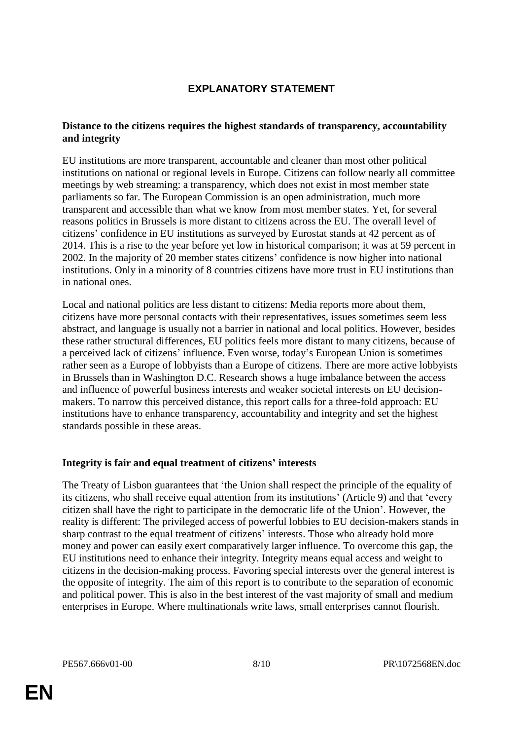# **EXPLANATORY STATEMENT**

#### **Distance to the citizens requires the highest standards of transparency, accountability and integrity**

EU institutions are more transparent, accountable and cleaner than most other political institutions on national or regional levels in Europe. Citizens can follow nearly all committee meetings by web streaming: a transparency, which does not exist in most member state parliaments so far. The European Commission is an open administration, much more transparent and accessible than what we know from most member states. Yet, for several reasons politics in Brussels is more distant to citizens across the EU. The overall level of citizens' confidence in EU institutions as surveyed by Eurostat stands at 42 percent as of 2014. This is a rise to the year before yet low in historical comparison; it was at 59 percent in 2002. In the majority of 20 member states citizens' confidence is now higher into national institutions. Only in a minority of 8 countries citizens have more trust in EU institutions than in national ones.

Local and national politics are less distant to citizens: Media reports more about them, citizens have more personal contacts with their representatives, issues sometimes seem less abstract, and language is usually not a barrier in national and local politics. However, besides these rather structural differences, EU politics feels more distant to many citizens, because of a perceived lack of citizens' influence. Even worse, today's European Union is sometimes rather seen as a Europe of lobbyists than a Europe of citizens. There are more active lobbyists in Brussels than in Washington D.C. Research shows a huge imbalance between the access and influence of powerful business interests and weaker societal interests on EU decisionmakers. To narrow this perceived distance, this report calls for a three-fold approach: EU institutions have to enhance transparency, accountability and integrity and set the highest standards possible in these areas.

# **Integrity is fair and equal treatment of citizens' interests**

The Treaty of Lisbon guarantees that 'the Union shall respect the principle of the equality of its citizens, who shall receive equal attention from its institutions' (Article 9) and that 'every citizen shall have the right to participate in the democratic life of the Union'. However, the reality is different: The privileged access of powerful lobbies to EU decision-makers stands in sharp contrast to the equal treatment of citizens' interests. Those who already hold more money and power can easily exert comparatively larger influence. To overcome this gap, the EU institutions need to enhance their integrity. Integrity means equal access and weight to citizens in the decision-making process. Favoring special interests over the general interest is the opposite of integrity. The aim of this report is to contribute to the separation of economic and political power. This is also in the best interest of the vast majority of small and medium enterprises in Europe. Where multinationals write laws, small enterprises cannot flourish.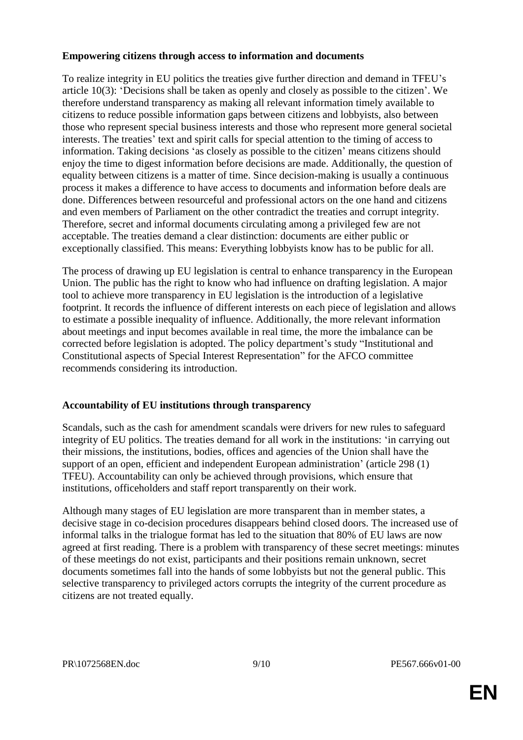#### **Empowering citizens through access to information and documents**

To realize integrity in EU politics the treaties give further direction and demand in TFEU's article 10(3): 'Decisions shall be taken as openly and closely as possible to the citizen'. We therefore understand transparency as making all relevant information timely available to citizens to reduce possible information gaps between citizens and lobbyists, also between those who represent special business interests and those who represent more general societal interests. The treaties' text and spirit calls for special attention to the timing of access to information. Taking decisions 'as closely as possible to the citizen' means citizens should enjoy the time to digest information before decisions are made. Additionally, the question of equality between citizens is a matter of time. Since decision-making is usually a continuous process it makes a difference to have access to documents and information before deals are done. Differences between resourceful and professional actors on the one hand and citizens and even members of Parliament on the other contradict the treaties and corrupt integrity. Therefore, secret and informal documents circulating among a privileged few are not acceptable. The treaties demand a clear distinction: documents are either public or exceptionally classified. This means: Everything lobbyists know has to be public for all.

The process of drawing up EU legislation is central to enhance transparency in the European Union. The public has the right to know who had influence on drafting legislation. A major tool to achieve more transparency in EU legislation is the introduction of a legislative footprint. It records the influence of different interests on each piece of legislation and allows to estimate a possible inequality of influence. Additionally, the more relevant information about meetings and input becomes available in real time, the more the imbalance can be corrected before legislation is adopted. The policy department's study "Institutional and Constitutional aspects of Special Interest Representation" for the AFCO committee recommends considering its introduction.

# **Accountability of EU institutions through transparency**

Scandals, such as the cash for amendment scandals were drivers for new rules to safeguard integrity of EU politics. The treaties demand for all work in the institutions: 'in carrying out their missions, the institutions, bodies, offices and agencies of the Union shall have the support of an open, efficient and independent European administration' (article 298 (1) TFEU). Accountability can only be achieved through provisions, which ensure that institutions, officeholders and staff report transparently on their work.

Although many stages of EU legislation are more transparent than in member states, a decisive stage in co-decision procedures disappears behind closed doors. The increased use of informal talks in the trialogue format has led to the situation that 80% of EU laws are now agreed at first reading. There is a problem with transparency of these secret meetings: minutes of these meetings do not exist, participants and their positions remain unknown, secret documents sometimes fall into the hands of some lobbyists but not the general public. This selective transparency to privileged actors corrupts the integrity of the current procedure as citizens are not treated equally.